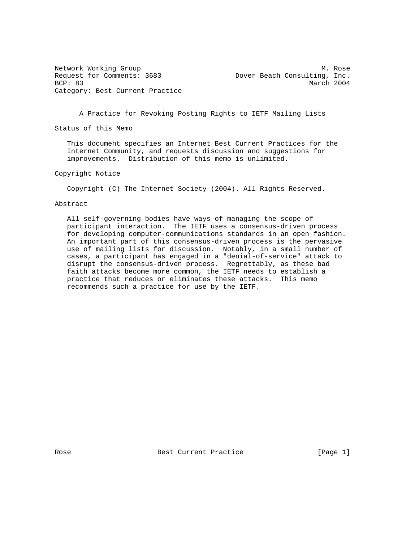Request for Comments: 3683 Dover Beach Consulting, Inc. BCP: 83 March 2004 Category: Best Current Practice

Network Working Group Manus (2008) 2012 12:30 More Month Manus (2008) 2014

A Practice for Revoking Posting Rights to IETF Mailing Lists

Status of this Memo

 This document specifies an Internet Best Current Practices for the Internet Community, and requests discussion and suggestions for improvements. Distribution of this memo is unlimited.

Copyright Notice

Copyright (C) The Internet Society (2004). All Rights Reserved.

### Abstract

 All self-governing bodies have ways of managing the scope of participant interaction. The IETF uses a consensus-driven process for developing computer-communications standards in an open fashion. An important part of this consensus-driven process is the pervasive use of mailing lists for discussion. Notably, in a small number of cases, a participant has engaged in a "denial-of-service" attack to disrupt the consensus-driven process. Regrettably, as these bad faith attacks become more common, the IETF needs to establish a practice that reduces or eliminates these attacks. This memo recommends such a practice for use by the IETF.

Rose **Best Current Practice** [Page 1]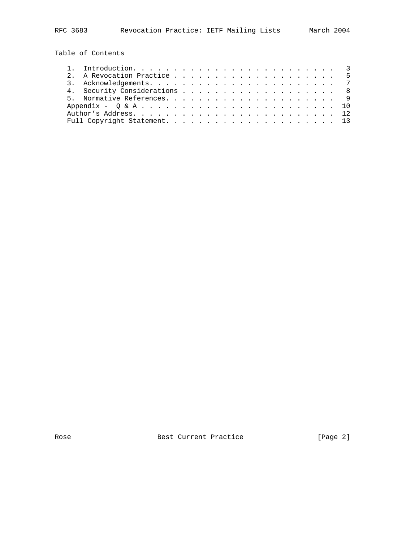Table of Contents

|  | 4. Security Considerations 8 |  |  |  |  |  |  |  |  |  |  |
|--|------------------------------|--|--|--|--|--|--|--|--|--|--|
|  |                              |  |  |  |  |  |  |  |  |  |  |
|  |                              |  |  |  |  |  |  |  |  |  |  |
|  |                              |  |  |  |  |  |  |  |  |  |  |
|  |                              |  |  |  |  |  |  |  |  |  |  |

Rose Best Current Practice [Page 2]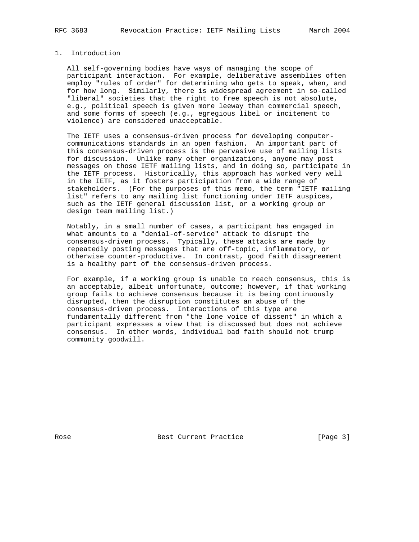## 1. Introduction

 All self-governing bodies have ways of managing the scope of participant interaction. For example, deliberative assemblies often employ "rules of order" for determining who gets to speak, when, and for how long. Similarly, there is widespread agreement in so-called "liberal" societies that the right to free speech is not absolute, e.g., political speech is given more leeway than commercial speech, and some forms of speech (e.g., egregious libel or incitement to violence) are considered unacceptable.

 The IETF uses a consensus-driven process for developing computer communications standards in an open fashion. An important part of this consensus-driven process is the pervasive use of mailing lists for discussion. Unlike many other organizations, anyone may post messages on those IETF mailing lists, and in doing so, participate in the IETF process. Historically, this approach has worked very well in the IETF, as it fosters participation from a wide range of stakeholders. (For the purposes of this memo, the term "IETF mailing list" refers to any mailing list functioning under IETF auspices, such as the IETF general discussion list, or a working group or design team mailing list.)

 Notably, in a small number of cases, a participant has engaged in what amounts to a "denial-of-service" attack to disrupt the consensus-driven process. Typically, these attacks are made by repeatedly posting messages that are off-topic, inflammatory, or otherwise counter-productive. In contrast, good faith disagreement is a healthy part of the consensus-driven process.

 For example, if a working group is unable to reach consensus, this is an acceptable, albeit unfortunate, outcome; however, if that working group fails to achieve consensus because it is being continuously disrupted, then the disruption constitutes an abuse of the consensus-driven process. Interactions of this type are fundamentally different from "the lone voice of dissent" in which a participant expresses a view that is discussed but does not achieve consensus. In other words, individual bad faith should not trump community goodwill.

Rose Best Current Practice [Page 3]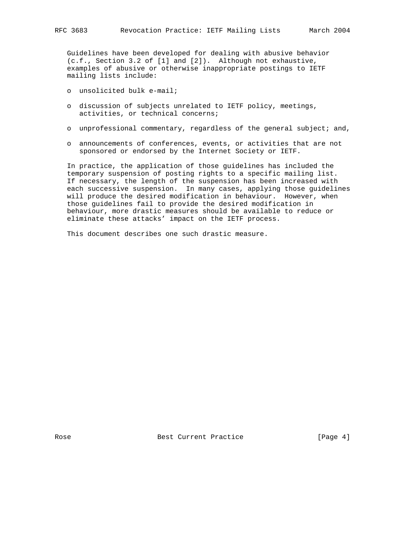Guidelines have been developed for dealing with abusive behavior (c.f., Section 3.2 of [1] and [2]). Although not exhaustive, examples of abusive or otherwise inappropriate postings to IETF mailing lists include:

- o unsolicited bulk e-mail;
- o discussion of subjects unrelated to IETF policy, meetings, activities, or technical concerns;
- o unprofessional commentary, regardless of the general subject; and,
- o announcements of conferences, events, or activities that are not sponsored or endorsed by the Internet Society or IETF.

 In practice, the application of those guidelines has included the temporary suspension of posting rights to a specific mailing list. If necessary, the length of the suspension has been increased with each successive suspension. In many cases, applying those guidelines will produce the desired modification in behaviour. However, when those guidelines fail to provide the desired modification in behaviour, more drastic measures should be available to reduce or eliminate these attacks' impact on the IETF process.

This document describes one such drastic measure.

Rose Best Current Practice [Page 4]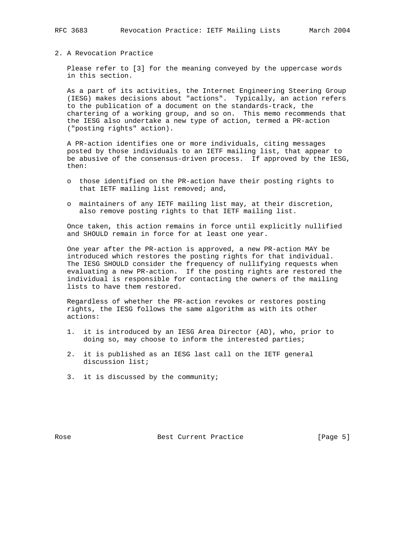### 2. A Revocation Practice

 Please refer to [3] for the meaning conveyed by the uppercase words in this section.

 As a part of its activities, the Internet Engineering Steering Group (IESG) makes decisions about "actions". Typically, an action refers to the publication of a document on the standards-track, the chartering of a working group, and so on. This memo recommends that the IESG also undertake a new type of action, termed a PR-action ("posting rights" action).

 A PR-action identifies one or more individuals, citing messages posted by those individuals to an IETF mailing list, that appear to be abusive of the consensus-driven process. If approved by the IESG, then:

- o those identified on the PR-action have their posting rights to that IETF mailing list removed; and,
- o maintainers of any IETF mailing list may, at their discretion, also remove posting rights to that IETF mailing list.

 Once taken, this action remains in force until explicitly nullified and SHOULD remain in force for at least one year.

 One year after the PR-action is approved, a new PR-action MAY be introduced which restores the posting rights for that individual. The IESG SHOULD consider the frequency of nullifying requests when evaluating a new PR-action. If the posting rights are restored the individual is responsible for contacting the owners of the mailing lists to have them restored.

 Regardless of whether the PR-action revokes or restores posting rights, the IESG follows the same algorithm as with its other actions:

- 1. it is introduced by an IESG Area Director (AD), who, prior to doing so, may choose to inform the interested parties;
- 2. it is published as an IESG last call on the IETF general discussion list;
- 3. it is discussed by the community;

Rose Best Current Practice [Page 5]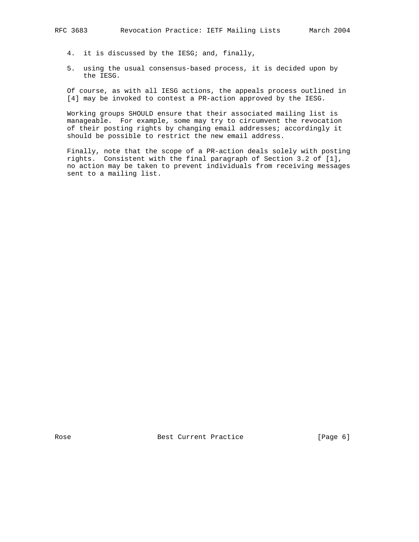- 4. it is discussed by the IESG; and, finally,
- 5. using the usual consensus-based process, it is decided upon by the IESG.

 Of course, as with all IESG actions, the appeals process outlined in [4] may be invoked to contest a PR-action approved by the IESG.

 Working groups SHOULD ensure that their associated mailing list is manageable. For example, some may try to circumvent the revocation of their posting rights by changing email addresses; accordingly it should be possible to restrict the new email address.

 Finally, note that the scope of a PR-action deals solely with posting rights. Consistent with the final paragraph of Section 3.2 of [1], no action may be taken to prevent individuals from receiving messages sent to a mailing list.

Rose Best Current Practice [Page 6]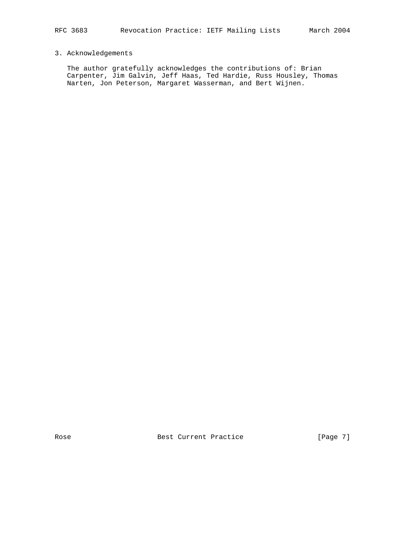# 3. Acknowledgements

 The author gratefully acknowledges the contributions of: Brian Carpenter, Jim Galvin, Jeff Haas, Ted Hardie, Russ Housley, Thomas Narten, Jon Peterson, Margaret Wasserman, and Bert Wijnen.

Rose Best Current Practice [Page 7]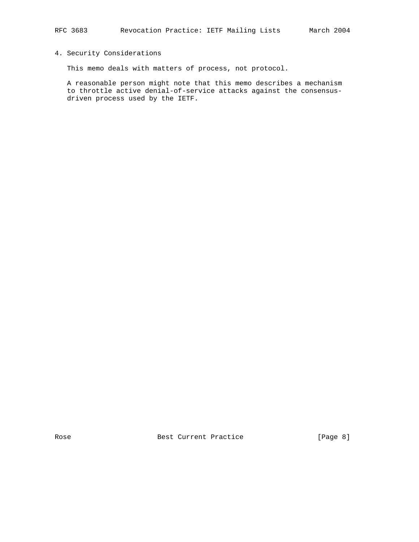## 4. Security Considerations

This memo deals with matters of process, not protocol.

 A reasonable person might note that this memo describes a mechanism to throttle active denial-of-service attacks against the consensus driven process used by the IETF.

Rose **Best Current Practice** [Page 8]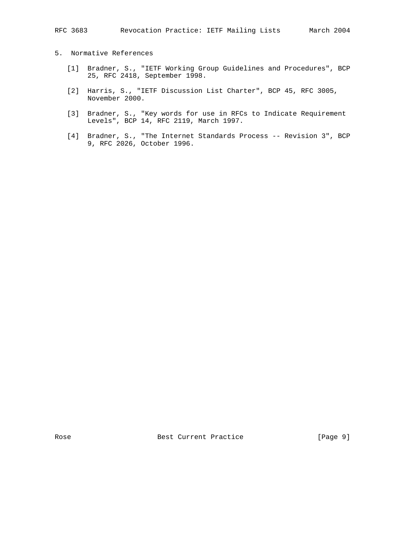## 5. Normative References

- [1] Bradner, S., "IETF Working Group Guidelines and Procedures", BCP 25, RFC 2418, September 1998.
	- [2] Harris, S., "IETF Discussion List Charter", BCP 45, RFC 3005, November 2000.
	- [3] Bradner, S., "Key words for use in RFCs to Indicate Requirement Levels", BCP 14, RFC 2119, March 1997.
	- [4] Bradner, S., "The Internet Standards Process -- Revision 3", BCP 9, RFC 2026, October 1996.

Rose Best Current Practice [Page 9]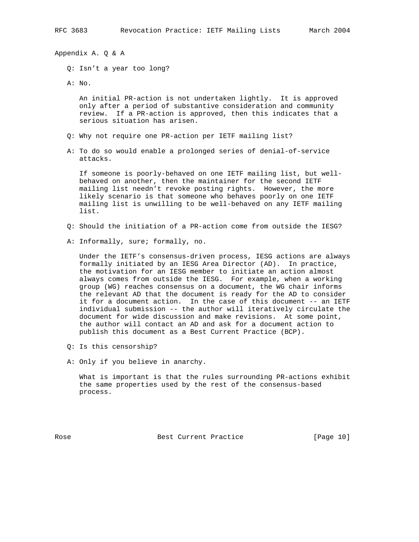Appendix A. Q & A

Q: Isn't a year too long?

A: No.

 An initial PR-action is not undertaken lightly. It is approved only after a period of substantive consideration and community review. If a PR-action is approved, then this indicates that a serious situation has arisen.

- Q: Why not require one PR-action per IETF mailing list?
- A: To do so would enable a prolonged series of denial-of-service attacks.

 If someone is poorly-behaved on one IETF mailing list, but well behaved on another, then the maintainer for the second IETF mailing list needn't revoke posting rights. However, the more likely scenario is that someone who behaves poorly on one IETF mailing list is unwilling to be well-behaved on any IETF mailing list.

- Q: Should the initiation of a PR-action come from outside the IESG?
- A: Informally, sure; formally, no.

 Under the IETF's consensus-driven process, IESG actions are always formally initiated by an IESG Area Director (AD). In practice, the motivation for an IESG member to initiate an action almost always comes from outside the IESG. For example, when a working group (WG) reaches consensus on a document, the WG chair informs the relevant AD that the document is ready for the AD to consider it for a document action. In the case of this document -- an IETF individual submission -- the author will iteratively circulate the document for wide discussion and make revisions. At some point, the author will contact an AD and ask for a document action to publish this document as a Best Current Practice (BCP).

- Q: Is this censorship?
- A: Only if you believe in anarchy.

 What is important is that the rules surrounding PR-actions exhibit the same properties used by the rest of the consensus-based process.

Rose Best Current Practice [Page 10]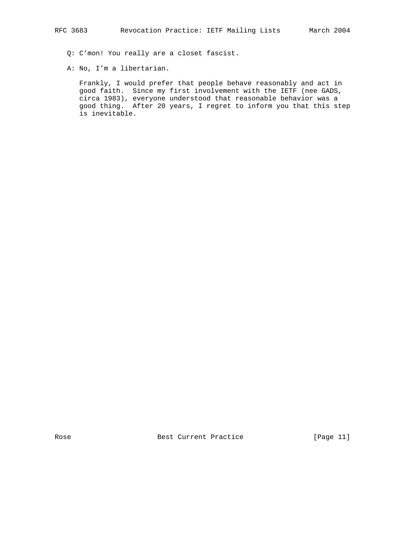Q: C'mon! You really are a closet fascist.

A: No, I'm a libertarian.

 Frankly, I would prefer that people behave reasonably and act in good faith. Since my first involvement with the IETF (nee GADS, circa 1983), everyone understood that reasonable behavior was a good thing. After 20 years, I regret to inform you that this step is inevitable.

Rose Best Current Practice [Page 11]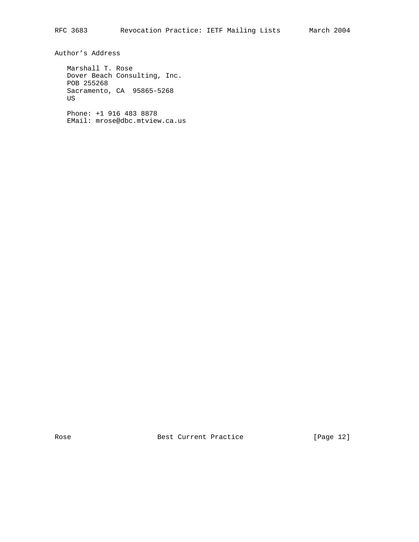Author's Address

 Marshall T. Rose Dover Beach Consulting, Inc. POB 255268 Sacramento, CA 95865-5268 US

 Phone: +1 916 483 8878 EMail: mrose@dbc.mtview.ca.us

Rose Best Current Practice [Page 12]